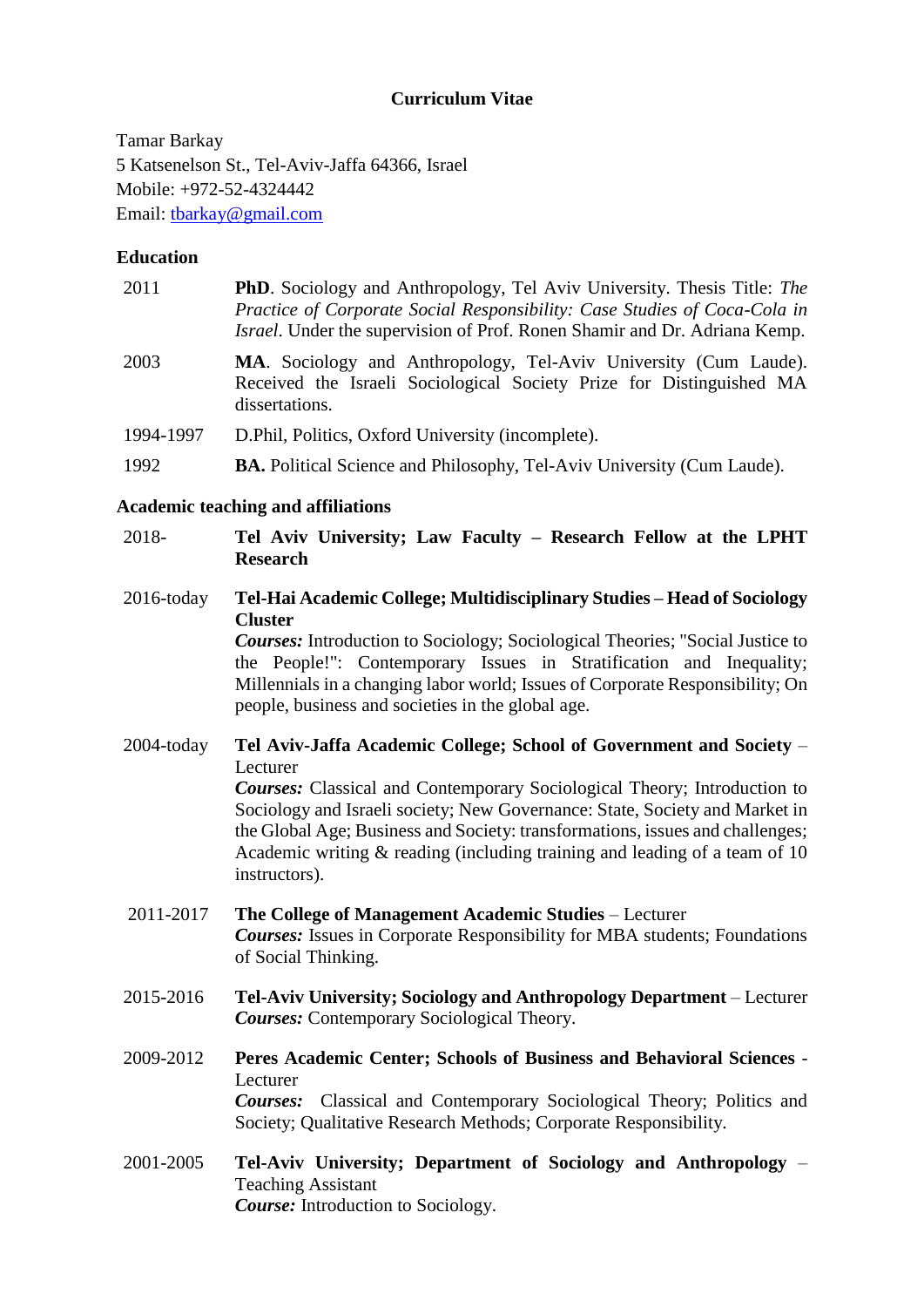# **Curriculum Vitae**

Tamar Barkay 5 Katsenelson St., Tel-Aviv-Jaffa 64366, Israel Mobile: +972-52-4324442 Email: tbarkay@gmail.com

#### **Education**

| 2011 | <b>PhD.</b> Sociology and Anthropology, Tel Aviv University. Thesis Title: The<br>Practice of Corporate Social Responsibility: Case Studies of Coca-Cola in<br><i>Israel</i> . Under the supervision of Prof. Ronen Shamir and Dr. Adriana Kemp. |
|------|--------------------------------------------------------------------------------------------------------------------------------------------------------------------------------------------------------------------------------------------------|
| 2003 | <b>MA.</b> Sociology and Anthropology, Tel-Aviv University (Cum Laude).<br>Received the Israeli Sociological Society Prize for Distinguished MA<br>dissertations.                                                                                |

- 1994-1997 D.Phil, Politics, Oxford University (incomplete).
- 1992 **BA.** Political Science and Philosophy, Tel-Aviv University (Cum Laude).

#### **Academic teaching and affiliations**

2018- **Tel Aviv University; Law Faculty – Research Fellow at the LPHT Research**

2016-today **Tel-Hai Academic College; Multidisciplinary Studies – Head of Sociology Cluster**

*Courses:* Introduction to Sociology; Sociological Theories; "Social Justice to the People!": Contemporary Issues in Stratification and Inequality; Millennials in a changing labor world; Issues of Corporate Responsibility; On people, business and societies in the global age.

- 2004-today **Tel Aviv-Jaffa Academic College; School of Government and Society**  Lecturer *Courses:* Classical and Contemporary Sociological Theory; Introduction to Sociology and Israeli society; New Governance: State, Society and Market in the Global Age; Business and Society: transformations, issues and challenges; Academic writing & reading (including training and leading of a team of 10 instructors).
- 2011-2017 **The College of Management Academic Studies**  Lecturer *Courses:* Issues in Corporate Responsibility for MBA students; Foundations of Social Thinking.
- 2015-2016 **Tel-Aviv University; Sociology and Anthropology Department**  Lecturer *Courses:* Contemporary Sociological Theory.
- 2009-2012 **Peres Academic Center; Schools of Business and Behavioral Sciences** Lecturer *Courses:* Classical and Contemporary Sociological Theory; Politics and Society; Qualitative Research Methods; Corporate Responsibility.
- 2001-2005 **Tel-Aviv University; Department of Sociology and Anthropology**  Teaching Assistant *Course:* Introduction to Sociology.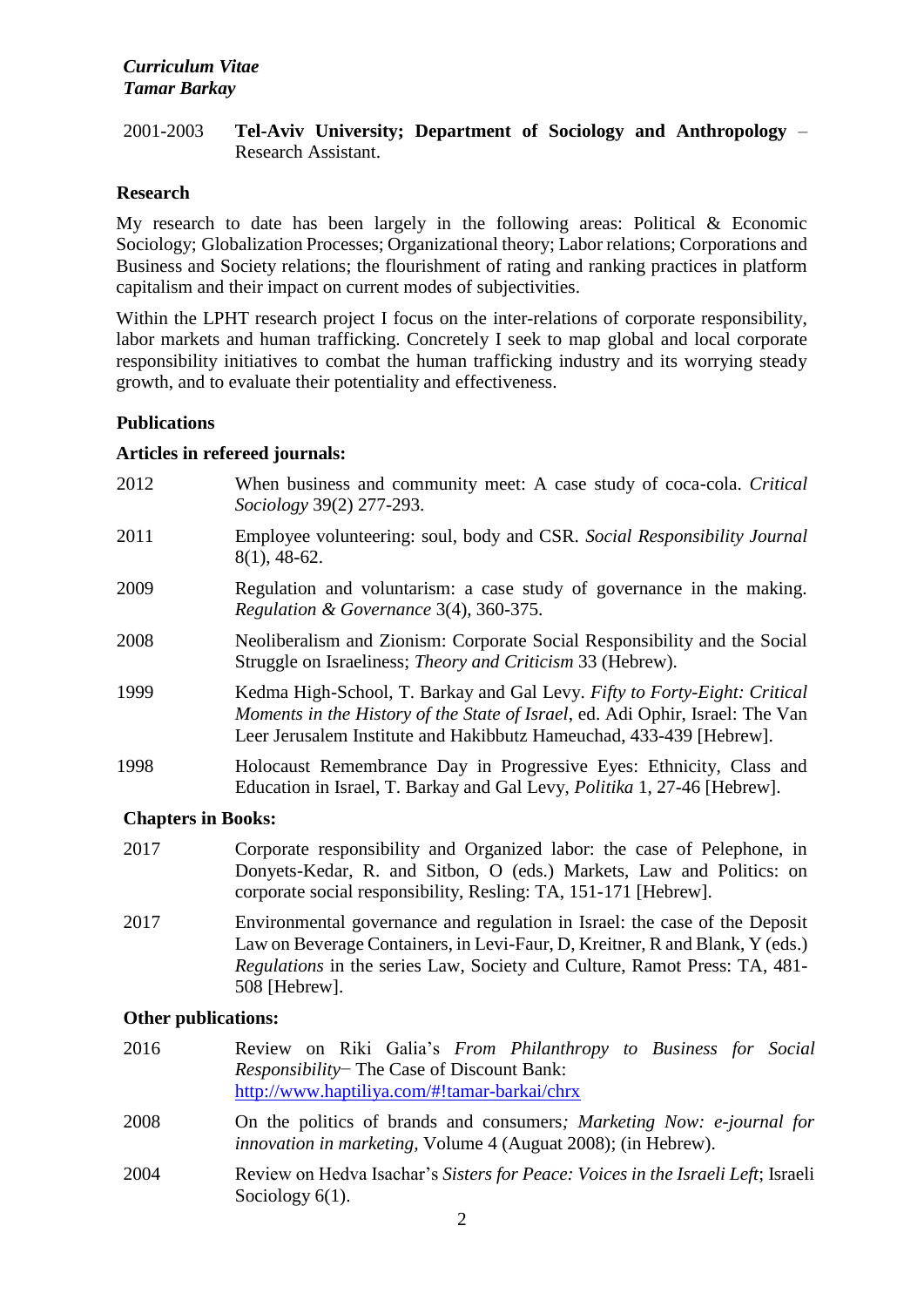# 2001-2003 **Tel-Aviv University; Department of Sociology and Anthropology** – Research Assistant.

# **Research**

My research to date has been largely in the following areas: Political & Economic Sociology; Globalization Processes; Organizational theory; Labor relations; Corporations and Business and Society relations; the flourishment of rating and ranking practices in platform capitalism and their impact on current modes of subjectivities.

Within the LPHT research project I focus on the inter-relations of corporate responsibility, labor markets and human trafficking. Concretely I seek to map global and local corporate responsibility initiatives to combat the human trafficking industry and its worrying steady growth, and to evaluate their potentiality and effectiveness.

# **Publications**

## **Articles in refereed journals:**

- 2012 When business and community meet: A case study of coca-cola. *Critical Sociology* 39(2) 277-293.
- 2011 Employee volunteering: soul, body and CSR. *Social Responsibility Journal*  8(1), 48-62.
- 2009 Regulation and voluntarism: a case study of governance in the making. *Regulation & Governance* 3(4), 360-375.
- 2008 Neoliberalism and Zionism: Corporate Social Responsibility and the Social Struggle on Israeliness; *Theory and Criticism* 33 (Hebrew).
- 1999 Kedma High-School, T. Barkay and Gal Levy. *Fifty to Forty-Eight: Critical Moments in the History of the State of Israel*, ed. Adi Ophir, Israel: The Van Leer Jerusalem Institute and Hakibbutz Hameuchad, 433-439 [Hebrew].
- 1998 Holocaust Remembrance Day in Progressive Eyes: Ethnicity, Class and Education in Israel, T. Barkay and Gal Levy, *Politika* 1, 27-46 [Hebrew].

# **Chapters in Books:**

- 2017 Corporate responsibility and Organized labor: the case of Pelephone, in Donyets-Kedar, R. and Sitbon, O (eds.) Markets, Law and Politics: on corporate social responsibility, Resling: TA, 151-171 [Hebrew].
- 2017 Environmental governance and regulation in Israel: the case of the Deposit Law on Beverage Containers, in Levi-Faur, D, Kreitner, R and Blank, Y (eds.) *Regulations* in the series Law, Society and Culture, Ramot Press: TA, 481- 508 [Hebrew].

# **Other publications:**

| 2016 | Review on Riki Galia's From Philanthropy to Business for Social<br><i>Responsibility</i> The Case of Discount Bank:                            |
|------|------------------------------------------------------------------------------------------------------------------------------------------------|
|      | http://www.haptiliya.com/#!tamar-barkai/chrx                                                                                                   |
| 2008 | On the politics of brands and consumers; Marketing Now: e-journal for<br><i>innovation in marketing</i> , Volume 4 (Auguat 2008); (in Hebrew). |
| 2004 | Review on Hedva Isachar's Sisters for Peace: Voices in the Israeli Left; Israeli<br>Sociology $6(1)$ .                                         |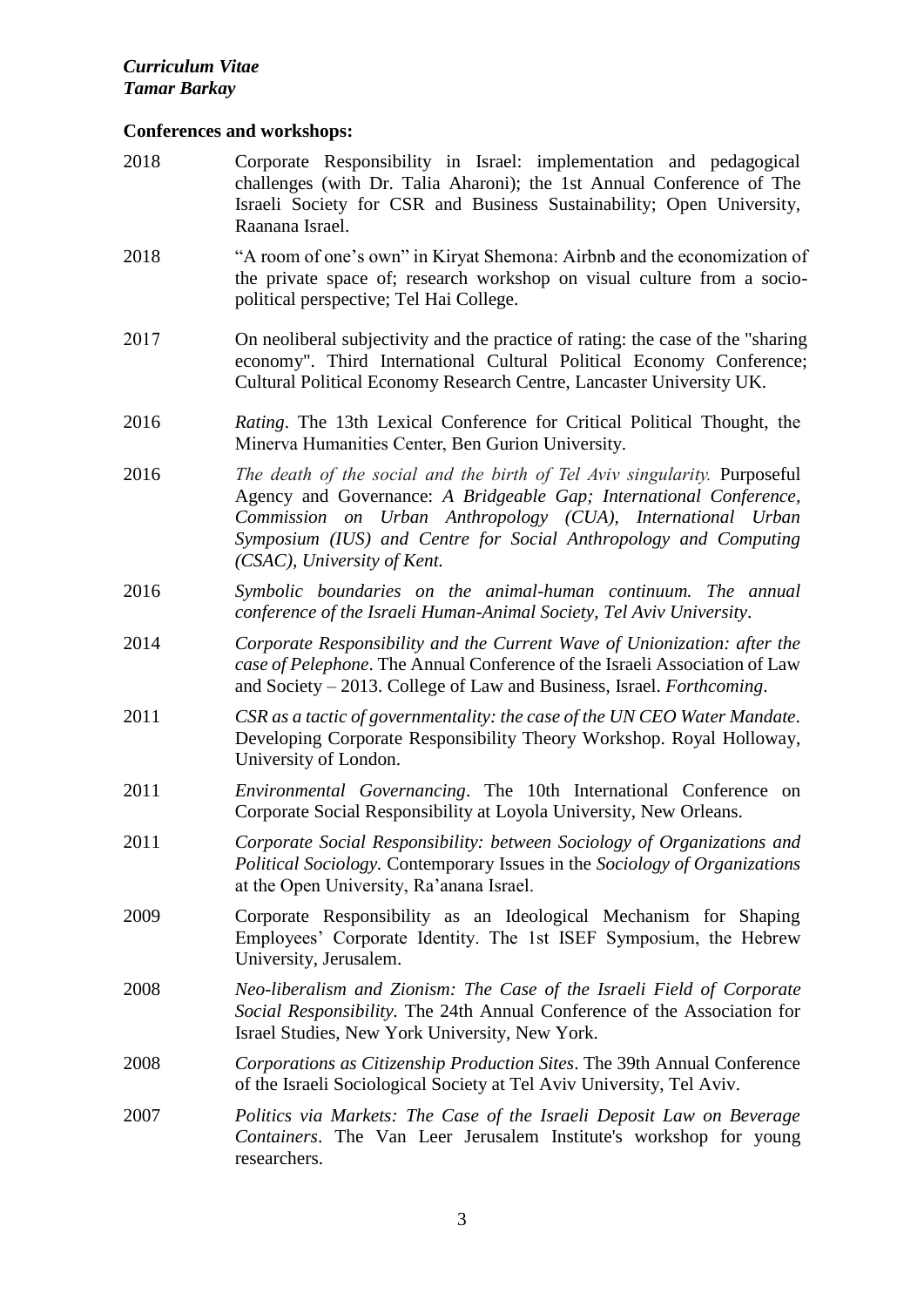# **Conferences and workshops:**

| 2018 | Corporate Responsibility in Israel: implementation and pedagogical<br>challenges (with Dr. Talia Aharoni); the 1st Annual Conference of The<br>Israeli Society for CSR and Business Sustainability; Open University,<br>Raanana Israel.                                                                           |
|------|-------------------------------------------------------------------------------------------------------------------------------------------------------------------------------------------------------------------------------------------------------------------------------------------------------------------|
| 2018 | "A room of one's own" in Kiryat Shemona: Airbnb and the economization of<br>the private space of; research workshop on visual culture from a socio-<br>political perspective; Tel Hai College.                                                                                                                    |
| 2017 | On neoliberal subjectivity and the practice of rating: the case of the "sharing"<br>economy". Third International Cultural Political Economy Conference;<br>Cultural Political Economy Research Centre, Lancaster University UK.                                                                                  |
| 2016 | Rating. The 13th Lexical Conference for Critical Political Thought, the<br>Minerva Humanities Center, Ben Gurion University.                                                                                                                                                                                      |
| 2016 | The death of the social and the birth of Tel Aviv singularity. Purposeful<br>Agency and Governance: A Bridgeable Gap; International Conference,<br>Commission on Urban Anthropology (CUA), International Urban<br>Symposium (IUS) and Centre for Social Anthropology and Computing<br>(CSAC), University of Kent. |
| 2016 | Symbolic boundaries on the animal-human continuum. The annual<br>conference of the Israeli Human-Animal Society, Tel Aviv University.                                                                                                                                                                             |
| 2014 | Corporate Responsibility and the Current Wave of Unionization: after the<br>case of Pelephone. The Annual Conference of the Israeli Association of Law<br>and Society – 2013. College of Law and Business, Israel. Forthcoming.                                                                                   |
| 2011 | CSR as a tactic of governmentality: the case of the UN CEO Water Mandate.<br>Developing Corporate Responsibility Theory Workshop. Royal Holloway,<br>University of London.                                                                                                                                        |
| 2011 | Environmental Governancing. The 10th International Conference on<br>Corporate Social Responsibility at Loyola University, New Orleans.                                                                                                                                                                            |
| 2011 | Corporate Social Responsibility: between Sociology of Organizations and<br>Political Sociology. Contemporary Issues in the Sociology of Organizations<br>at the Open University, Ra'anana Israel.                                                                                                                 |
| 2009 | Corporate Responsibility as an Ideological Mechanism for Shaping<br>Employees' Corporate Identity. The 1st ISEF Symposium, the Hebrew<br>University, Jerusalem.                                                                                                                                                   |
| 2008 | Neo-liberalism and Zionism: The Case of the Israeli Field of Corporate<br>Social Responsibility. The 24th Annual Conference of the Association for<br>Israel Studies, New York University, New York.                                                                                                              |
| 2008 | Corporations as Citizenship Production Sites. The 39th Annual Conference<br>of the Israeli Sociological Society at Tel Aviv University, Tel Aviv.                                                                                                                                                                 |
| 2007 | Politics via Markets: The Case of the Israeli Deposit Law on Beverage<br>Containers. The Van Leer Jerusalem Institute's workshop for young<br>researchers.                                                                                                                                                        |